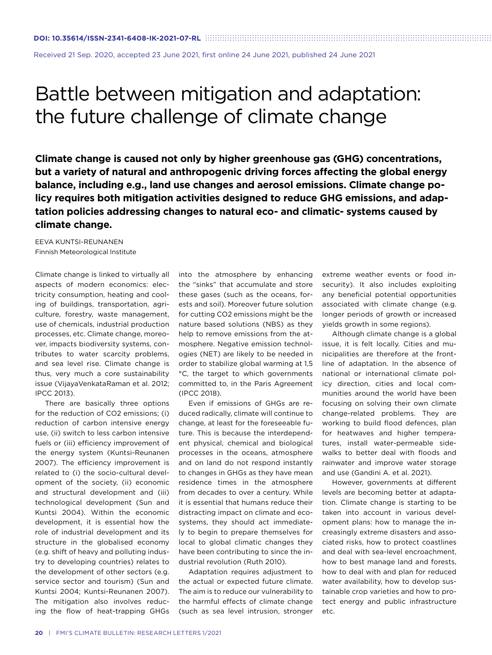Received 21 Sep. 2020, accepted 23 June 2021, first online 24 June 2021, published 24 June 2021

## Battle between mitigation and adaptation: the future challenge of climate change

**Climate change is caused not only by higher greenhouse gas (GHG) concentrations, but a variety of natural and anthropogenic driving forces affecting the global energy balance, including e.g., land use changes and aerosol emissions. Climate change policy requires both mitigation activities designed to reduce GHG emissions, and adaptation policies addressing changes to natural eco- and climatic- systems caused by climate change.**

EEVA KUNTSI-REUNANEN Finnish Meteorological Institute

Climate change is linked to virtually all aspects of modern economics: electricity consumption, heating and cooling of buildings, transportation, agriculture, forestry, waste management, use of chemicals, industrial production processes, etc. Climate change, moreover, impacts biodiversity systems, contributes to water scarcity problems, and sea level rise. Climate change is thus, very much a core sustainability issue (VijayaVenkataRaman et al. 2012; IPCC 2013).

There are basically three options for the reduction of CO2 emissions; (i) reduction of carbon intensive energy use, (ii) switch to less carbon intensive fuels or (iii) efficiency improvement of the energy system (Kuntsi-Reunanen 2007). The efficiency improvement is related to (i) the socio-cultural development of the society, (ii) economic and structural development and (iii) technological development (Sun and Kuntsi 2004). Within the economic development, it is essential how the role of industrial development and its structure in the globalised economy (e.g. shift of heavy and polluting industry to developing countries) relates to the development of other sectors (e.g. service sector and tourism) (Sun and Kuntsi 2004; Kuntsi-Reunanen 2007). The mitigation also involves reducing the flow of heat-trapping GHGs

into the atmosphere by enhancing the "sinks" that accumulate and store these gases (such as the oceans, forests and soil). Moreover future solution for cutting CO2 emissions might be the nature based solutions (NBS) as they help to remove emissions from the atmosphere. Negative emission technologies (NET) are likely to be needed in order to stabilize global warming at 1,5 °C, the target to which governments committed to, in the Paris Agreement (IPCC 2018).

Even if emissions of GHGs are reduced radically, climate will continue to change, at least for the foreseeable future. This is because the interdependent physical, chemical and biological processes in the oceans, atmosphere and on land do not respond instantly to changes in GHGs as they have mean residence times in the atmosphere from decades to over a century. While it is essential that humans reduce their distracting impact on climate and ecosystems, they should act immediately to begin to prepare themselves for local to global climatic changes they have been contributing to since the industrial revolution (Ruth 2010).

Adaptation requires adjustment to the actual or expected future climate. The aim is to reduce our vulnerability to the harmful effects of climate change (such as sea level intrusion, stronger

extreme weather events or food insecurity). It also includes exploiting any beneficial potential opportunities associated with climate change (e.g. longer periods of growth or increased yields growth in some regions).

Although climate change is a global issue, it is felt locally. Cities and municipalities are therefore at the frontline of adaptation. In the absence of national or international climate policy direction, cities and local communities around the world have been focusing on solving their own climate change-related problems. They are working to build flood defences, plan for heatwaves and higher temperatures, install water-permeable sidewalks to better deal with floods and rainwater and improve water storage and use (Gandini A. et al. 2021).

However, governments at different levels are becoming better at adaptation. Climate change is starting to be taken into account in various development plans: how to manage the increasingly extreme disasters and associated risks, how to protect coastlines and deal with sea-level encroachment, how to best manage land and forests, how to deal with and plan for reduced water availability, how to develop sustainable crop varieties and how to protect energy and public infrastructure etc.